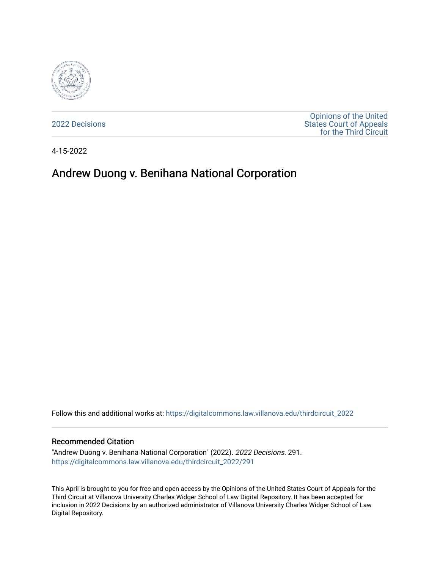

[2022 Decisions](https://digitalcommons.law.villanova.edu/thirdcircuit_2022)

[Opinions of the United](https://digitalcommons.law.villanova.edu/thirdcircuit)  [States Court of Appeals](https://digitalcommons.law.villanova.edu/thirdcircuit)  [for the Third Circuit](https://digitalcommons.law.villanova.edu/thirdcircuit) 

4-15-2022

# Andrew Duong v. Benihana National Corporation

Follow this and additional works at: [https://digitalcommons.law.villanova.edu/thirdcircuit\\_2022](https://digitalcommons.law.villanova.edu/thirdcircuit_2022?utm_source=digitalcommons.law.villanova.edu%2Fthirdcircuit_2022%2F291&utm_medium=PDF&utm_campaign=PDFCoverPages) 

#### Recommended Citation

"Andrew Duong v. Benihana National Corporation" (2022). 2022 Decisions. 291. [https://digitalcommons.law.villanova.edu/thirdcircuit\\_2022/291](https://digitalcommons.law.villanova.edu/thirdcircuit_2022/291?utm_source=digitalcommons.law.villanova.edu%2Fthirdcircuit_2022%2F291&utm_medium=PDF&utm_campaign=PDFCoverPages)

This April is brought to you for free and open access by the Opinions of the United States Court of Appeals for the Third Circuit at Villanova University Charles Widger School of Law Digital Repository. It has been accepted for inclusion in 2022 Decisions by an authorized administrator of Villanova University Charles Widger School of Law Digital Repository.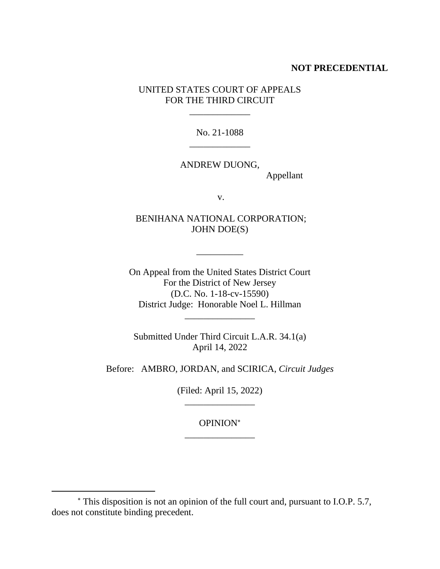# **NOT PRECEDENTIAL**

UNITED STATES COURT OF APPEALS FOR THE THIRD CIRCUIT

\_\_\_\_\_\_\_\_\_\_\_\_\_

No. 21-1088 \_\_\_\_\_\_\_\_\_\_\_\_\_

ANDREW DUONG, Appellant

v.

BENIHANA NATIONAL CORPORATION; JOHN DOE(S)

\_\_\_\_\_\_\_\_\_\_

On Appeal from the United States District Court For the District of New Jersey (D.C. No. 1-18-cv-15590) District Judge: Honorable Noel L. Hillman \_\_\_\_\_\_\_\_\_\_\_\_\_\_\_

Submitted Under Third Circuit L.A.R. 34.1(a) April 14, 2022

Before: AMBRO, JORDAN, and SCIRICA, *Circuit Judges*

(Filed: April 15, 2022) \_\_\_\_\_\_\_\_\_\_\_\_\_\_\_

OPINION \_\_\_\_\_\_\_\_\_\_\_\_\_\_\_

This disposition is not an opinion of the full court and, pursuant to I.O.P. 5.7, does not constitute binding precedent.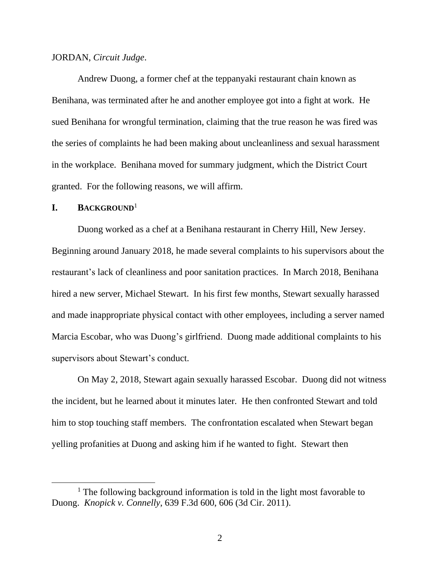#### JORDAN, *Circuit Judge*.

Andrew Duong, a former chef at the teppanyaki restaurant chain known as Benihana, was terminated after he and another employee got into a fight at work. He sued Benihana for wrongful termination, claiming that the true reason he was fired was the series of complaints he had been making about uncleanliness and sexual harassment in the workplace. Benihana moved for summary judgment, which the District Court granted. For the following reasons, we will affirm.

## **I. BACKGROUND**<sup>1</sup>

Duong worked as a chef at a Benihana restaurant in Cherry Hill, New Jersey. Beginning around January 2018, he made several complaints to his supervisors about the restaurant's lack of cleanliness and poor sanitation practices. In March 2018, Benihana hired a new server, Michael Stewart. In his first few months, Stewart sexually harassed and made inappropriate physical contact with other employees, including a server named Marcia Escobar, who was Duong's girlfriend. Duong made additional complaints to his supervisors about Stewart's conduct.

On May 2, 2018, Stewart again sexually harassed Escobar. Duong did not witness the incident, but he learned about it minutes later. He then confronted Stewart and told him to stop touching staff members. The confrontation escalated when Stewart began yelling profanities at Duong and asking him if he wanted to fight. Stewart then

<sup>&</sup>lt;sup>1</sup> The following background information is told in the light most favorable to Duong. *Knopick v. Connelly*, 639 F.3d 600, 606 (3d Cir. 2011).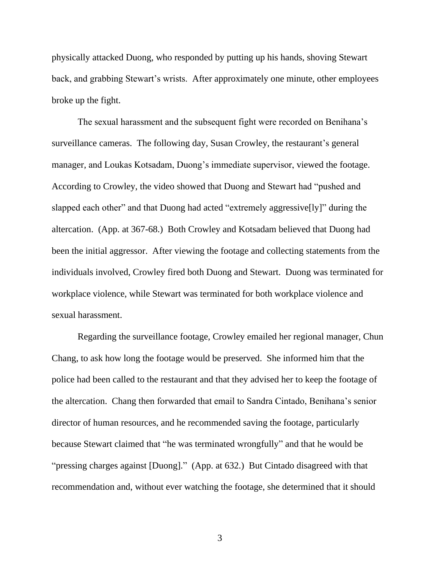physically attacked Duong, who responded by putting up his hands, shoving Stewart back, and grabbing Stewart's wrists. After approximately one minute, other employees broke up the fight.

The sexual harassment and the subsequent fight were recorded on Benihana's surveillance cameras. The following day, Susan Crowley, the restaurant's general manager, and Loukas Kotsadam, Duong's immediate supervisor, viewed the footage. According to Crowley, the video showed that Duong and Stewart had "pushed and slapped each other" and that Duong had acted "extremely aggressive[ly]" during the altercation. (App. at 367-68.) Both Crowley and Kotsadam believed that Duong had been the initial aggressor. After viewing the footage and collecting statements from the individuals involved, Crowley fired both Duong and Stewart. Duong was terminated for workplace violence, while Stewart was terminated for both workplace violence and sexual harassment.

Regarding the surveillance footage, Crowley emailed her regional manager, Chun Chang, to ask how long the footage would be preserved. She informed him that the police had been called to the restaurant and that they advised her to keep the footage of the altercation. Chang then forwarded that email to Sandra Cintado, Benihana's senior director of human resources, and he recommended saving the footage, particularly because Stewart claimed that "he was terminated wrongfully" and that he would be "pressing charges against [Duong]." (App. at 632.) But Cintado disagreed with that recommendation and, without ever watching the footage, she determined that it should

3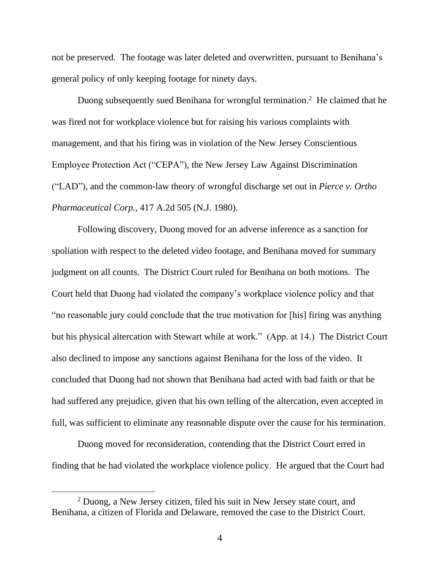not be preserved. The footage was later deleted and overwritten, pursuant to Benihana's general policy of only keeping footage for ninety days.

Duong subsequently sued Benihana for wrongful termination.<sup>2</sup> He claimed that he was fired not for workplace violence but for raising his various complaints with management, and that his firing was in violation of the New Jersey Conscientious Employee Protection Act ("CEPA"), the New Jersey Law Against Discrimination ("LAD"), and the common-law theory of wrongful discharge set out in *Pierce v. Ortho Pharmaceutical Corp.*, 417 A.2d 505 (N.J. 1980).

Following discovery, Duong moved for an adverse inference as a sanction for spoliation with respect to the deleted video footage, and Benihana moved for summary judgment on all counts. The District Court ruled for Benihana on both motions. The Court held that Duong had violated the company's workplace violence policy and that "no reasonable jury could conclude that the true motivation for [his] firing was anything but his physical altercation with Stewart while at work." (App. at 14.) The District Court also declined to impose any sanctions against Benihana for the loss of the video. It concluded that Duong had not shown that Benihana had acted with bad faith or that he had suffered any prejudice, given that his own telling of the altercation, even accepted in full, was sufficient to eliminate any reasonable dispute over the cause for his termination.

Duong moved for reconsideration, contending that the District Court erred in finding that he had violated the workplace violence policy. He argued that the Court had

<sup>2</sup> Duong, a New Jersey citizen, filed his suit in New Jersey state court, and Benihana, a citizen of Florida and Delaware, removed the case to the District Court.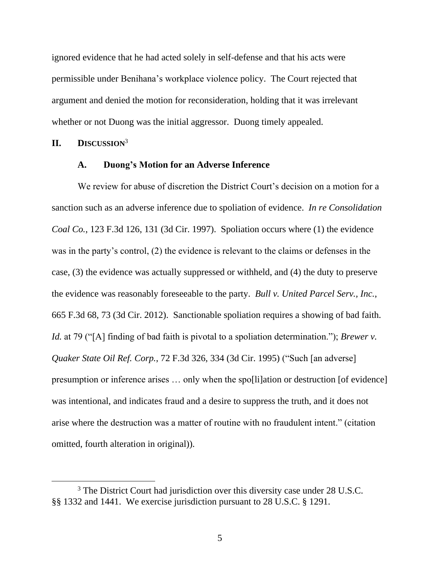ignored evidence that he had acted solely in self-defense and that his acts were permissible under Benihana's workplace violence policy. The Court rejected that argument and denied the motion for reconsideration, holding that it was irrelevant whether or not Duong was the initial aggressor. Duong timely appealed.

# **II. DISCUSSION**<sup>3</sup>

## **A. Duong's Motion for an Adverse Inference**

We review for abuse of discretion the District Court's decision on a motion for a sanction such as an adverse inference due to spoliation of evidence. *In re Consolidation Coal Co.*, 123 F.3d 126, 131 (3d Cir. 1997). Spoliation occurs where (1) the evidence was in the party's control, (2) the evidence is relevant to the claims or defenses in the case, (3) the evidence was actually suppressed or withheld, and (4) the duty to preserve the evidence was reasonably foreseeable to the party. *Bull v. United Parcel Serv., Inc.*, 665 F.3d 68, 73 (3d Cir. 2012). Sanctionable spoliation requires a showing of bad faith. *Id.* at 79 ("[A] finding of bad faith is pivotal to a spoliation determination."); *Brewer v. Quaker State Oil Ref. Corp.*, 72 F.3d 326, 334 (3d Cir. 1995) ("Such [an adverse] presumption or inference arises … only when the spo[li]ation or destruction [of evidence] was intentional, and indicates fraud and a desire to suppress the truth, and it does not arise where the destruction was a matter of routine with no fraudulent intent." (citation omitted, fourth alteration in original)).

<sup>&</sup>lt;sup>3</sup> The District Court had jurisdiction over this diversity case under 28 U.S.C. §§ 1332 and 1441. We exercise jurisdiction pursuant to 28 U.S.C. § 1291.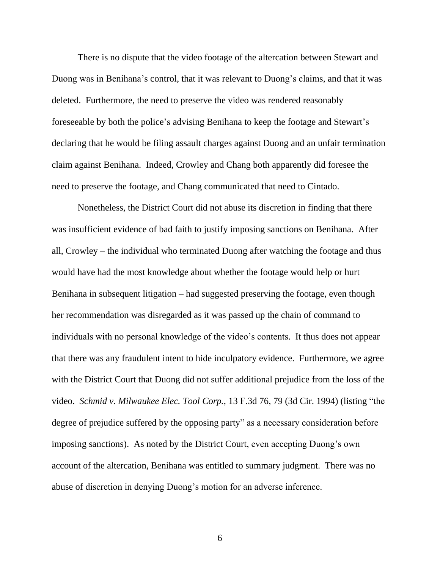There is no dispute that the video footage of the altercation between Stewart and Duong was in Benihana's control, that it was relevant to Duong's claims, and that it was deleted. Furthermore, the need to preserve the video was rendered reasonably foreseeable by both the police's advising Benihana to keep the footage and Stewart's declaring that he would be filing assault charges against Duong and an unfair termination claim against Benihana. Indeed, Crowley and Chang both apparently did foresee the need to preserve the footage, and Chang communicated that need to Cintado.

Nonetheless, the District Court did not abuse its discretion in finding that there was insufficient evidence of bad faith to justify imposing sanctions on Benihana. After all, Crowley – the individual who terminated Duong after watching the footage and thus would have had the most knowledge about whether the footage would help or hurt Benihana in subsequent litigation – had suggested preserving the footage, even though her recommendation was disregarded as it was passed up the chain of command to individuals with no personal knowledge of the video's contents. It thus does not appear that there was any fraudulent intent to hide inculpatory evidence. Furthermore, we agree with the District Court that Duong did not suffer additional prejudice from the loss of the video. *Schmid v. Milwaukee Elec. Tool Corp.*, 13 F.3d 76, 79 (3d Cir. 1994) (listing "the degree of prejudice suffered by the opposing party" as a necessary consideration before imposing sanctions). As noted by the District Court, even accepting Duong's own account of the altercation, Benihana was entitled to summary judgment. There was no abuse of discretion in denying Duong's motion for an adverse inference.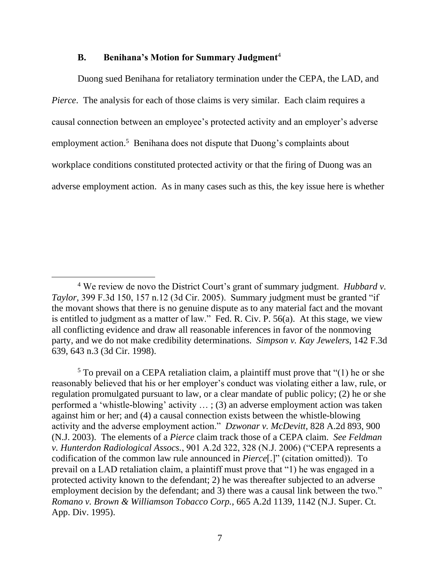#### **B. Benihana's Motion for Summary Judgment**<sup>4</sup>

Duong sued Benihana for retaliatory termination under the CEPA, the LAD, and *Pierce*. The analysis for each of those claims is very similar. Each claim requires a causal connection between an employee's protected activity and an employer's adverse employment action.<sup>5</sup> Benihana does not dispute that Duong's complaints about workplace conditions constituted protected activity or that the firing of Duong was an adverse employment action. As in many cases such as this, the key issue here is whether

<sup>4</sup> We review de novo the District Court's grant of summary judgment. *Hubbard v. Taylor*, 399 F.3d 150, 157 n.12 (3d Cir. 2005). Summary judgment must be granted "if the movant shows that there is no genuine dispute as to any material fact and the movant is entitled to judgment as a matter of law." Fed. R. Civ. P. 56(a). At this stage, we view all conflicting evidence and draw all reasonable inferences in favor of the nonmoving party, and we do not make credibility determinations. *Simpson v. Kay Jewelers*, 142 F.3d 639, 643 n.3 (3d Cir. 1998).

<sup>5</sup> To prevail on a CEPA retaliation claim, a plaintiff must prove that "(1) he or she reasonably believed that his or her employer's conduct was violating either a law, rule, or regulation promulgated pursuant to law, or a clear mandate of public policy; (2) he or she performed a 'whistle-blowing' activity … ; (3) an adverse employment action was taken against him or her; and (4) a causal connection exists between the whistle-blowing activity and the adverse employment action." *Dzwonar v. McDevitt*, 828 A.2d 893, 900 (N.J. 2003). The elements of a *Pierce* claim track those of a CEPA claim. *See Feldman v. Hunterdon Radiological Assocs.*, 901 A.2d 322, 328 (N.J. 2006) ("CEPA represents a codification of the common law rule announced in *Pierce*[.]" (citation omitted)). To prevail on a LAD retaliation claim, a plaintiff must prove that "1) he was engaged in a protected activity known to the defendant; 2) he was thereafter subjected to an adverse employment decision by the defendant; and 3) there was a causal link between the two." *Romano v. Brown & Williamson Tobacco Corp.*, 665 A.2d 1139, 1142 (N.J. Super. Ct. App. Div. 1995).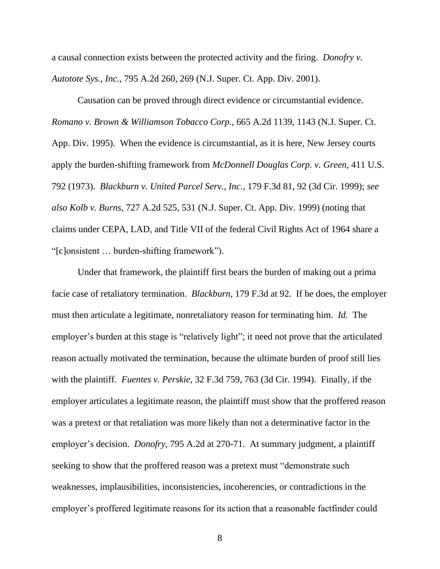a causal connection exists between the protected activity and the firing. *Donofry v. Autotote Sys., Inc.*, 795 A.2d 260, 269 (N.J. Super. Ct. App. Div. 2001).

Causation can be proved through direct evidence or circumstantial evidence. *Romano v. Brown & Williamson Tobacco Corp.*, 665 A.2d 1139, 1143 (N.J. Super. Ct. App. Div. 1995). When the evidence is circumstantial, as it is here, New Jersey courts apply the burden-shifting framework from *McDonnell Douglas Corp. v. Green*, 411 U.S. 792 (1973). *Blackburn v. United Parcel Serv., Inc.*, 179 F.3d 81, 92 (3d Cir. 1999); *see also Kolb v. Burns*, 727 A.2d 525, 531 (N.J. Super. Ct. App. Div. 1999) (noting that claims under CEPA, LAD, and Title VII of the federal Civil Rights Act of 1964 share a "[c]onsistent … burden-shifting framework").

Under that framework, the plaintiff first bears the burden of making out a prima facie case of retaliatory termination. *Blackburn*, 179 F.3d at 92. If he does, the employer must then articulate a legitimate, nonretaliatory reason for terminating him. *Id.* The employer's burden at this stage is "relatively light"; it need not prove that the articulated reason actually motivated the termination, because the ultimate burden of proof still lies with the plaintiff. *Fuentes v. Perskie*, 32 F.3d 759, 763 (3d Cir. 1994). Finally, if the employer articulates a legitimate reason, the plaintiff must show that the proffered reason was a pretext or that retaliation was more likely than not a determinative factor in the employer's decision. *Donofry*, 795 A.2d at 270-71. At summary judgment, a plaintiff seeking to show that the proffered reason was a pretext must "demonstrate such weaknesses, implausibilities, inconsistencies, incoherencies, or contradictions in the employer's proffered legitimate reasons for its action that a reasonable factfinder could

8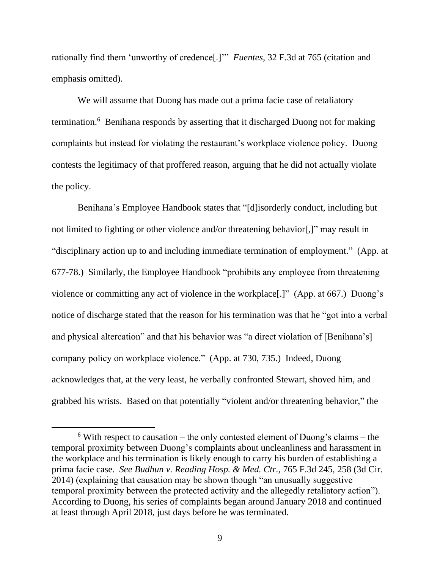rationally find them 'unworthy of credence[.]'" *Fuentes*, 32 F.3d at 765 (citation and emphasis omitted).

We will assume that Duong has made out a prima facie case of retaliatory termination.<sup>6</sup> Benihana responds by asserting that it discharged Duong not for making complaints but instead for violating the restaurant's workplace violence policy. Duong contests the legitimacy of that proffered reason, arguing that he did not actually violate the policy.

Benihana's Employee Handbook states that "[d]isorderly conduct, including but not limited to fighting or other violence and/or threatening behavior[,]" may result in "disciplinary action up to and including immediate termination of employment." (App. at 677-78.) Similarly, the Employee Handbook "prohibits any employee from threatening violence or committing any act of violence in the workplace[.]" (App. at 667.) Duong's notice of discharge stated that the reason for his termination was that he "got into a verbal and physical altercation" and that his behavior was "a direct violation of [Benihana's] company policy on workplace violence." (App. at 730, 735.) Indeed, Duong acknowledges that, at the very least, he verbally confronted Stewart, shoved him, and grabbed his wrists. Based on that potentially "violent and/or threatening behavior," the

 $6$  With respect to causation – the only contested element of Duong's claims – the temporal proximity between Duong's complaints about uncleanliness and harassment in the workplace and his termination is likely enough to carry his burden of establishing a prima facie case. *See Budhun v. Reading Hosp. & Med. Ctr.*, 765 F.3d 245, 258 (3d Cir. 2014) (explaining that causation may be shown though "an unusually suggestive temporal proximity between the protected activity and the allegedly retaliatory action"). According to Duong, his series of complaints began around January 2018 and continued at least through April 2018, just days before he was terminated.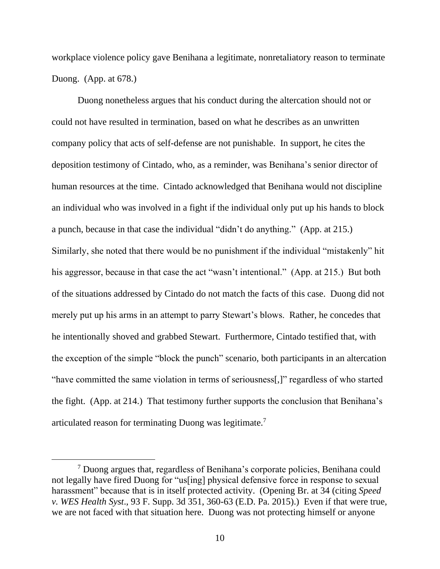workplace violence policy gave Benihana a legitimate, nonretaliatory reason to terminate Duong. (App. at 678.)

Duong nonetheless argues that his conduct during the altercation should not or could not have resulted in termination, based on what he describes as an unwritten company policy that acts of self-defense are not punishable. In support, he cites the deposition testimony of Cintado, who, as a reminder, was Benihana's senior director of human resources at the time. Cintado acknowledged that Benihana would not discipline an individual who was involved in a fight if the individual only put up his hands to block a punch, because in that case the individual "didn't do anything." (App. at 215.) Similarly, she noted that there would be no punishment if the individual "mistakenly" hit his aggressor, because in that case the act "wasn't intentional." (App. at 215.) But both of the situations addressed by Cintado do not match the facts of this case. Duong did not merely put up his arms in an attempt to parry Stewart's blows. Rather, he concedes that he intentionally shoved and grabbed Stewart. Furthermore, Cintado testified that, with the exception of the simple "block the punch" scenario, both participants in an altercation "have committed the same violation in terms of seriousness[,]" regardless of who started the fight. (App. at 214.) That testimony further supports the conclusion that Benihana's articulated reason for terminating Duong was legitimate.<sup>7</sup>

<sup>&</sup>lt;sup>7</sup> Duong argues that, regardless of Benihana's corporate policies, Benihana could not legally have fired Duong for "us[ing] physical defensive force in response to sexual harassment" because that is in itself protected activity. (Opening Br. at 34 (citing *Speed v. WES Health Syst*., 93 F. Supp. 3d 351, 360-63 (E.D. Pa. 2015).) Even if that were true, we are not faced with that situation here. Duong was not protecting himself or anyone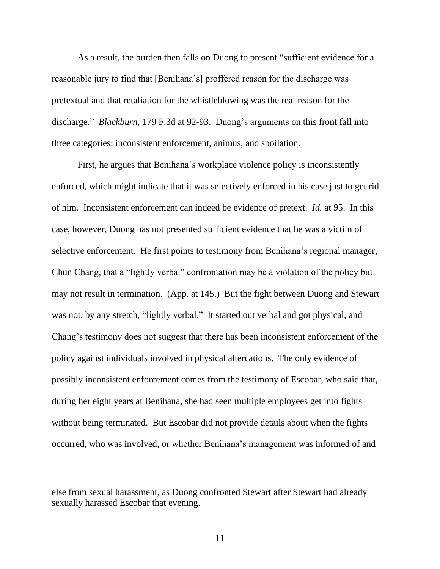As a result, the burden then falls on Duong to present "sufficient evidence for a reasonable jury to find that [Benihana's] proffered reason for the discharge was pretextual and that retaliation for the whistleblowing was the real reason for the discharge." *Blackburn*, 179 F.3d at 92-93. Duong's arguments on this front fall into three categories: inconsistent enforcement, animus, and spoilation.

First, he argues that Benihana's workplace violence policy is inconsistently enforced, which might indicate that it was selectively enforced in his case just to get rid of him. Inconsistent enforcement can indeed be evidence of pretext. *Id.* at 95. In this case, however, Duong has not presented sufficient evidence that he was a victim of selective enforcement. He first points to testimony from Benihana's regional manager, Chun Chang, that a "lightly verbal" confrontation may be a violation of the policy but may not result in termination. (App. at 145.) But the fight between Duong and Stewart was not, by any stretch, "lightly verbal." It started out verbal and got physical, and Chang's testimony does not suggest that there has been inconsistent enforcement of the policy against individuals involved in physical altercations. The only evidence of possibly inconsistent enforcement comes from the testimony of Escobar, who said that, during her eight years at Benihana, she had seen multiple employees get into fights without being terminated. But Escobar did not provide details about when the fights occurred, who was involved, or whether Benihana's management was informed of and

else from sexual harassment, as Duong confronted Stewart after Stewart had already sexually harassed Escobar that evening.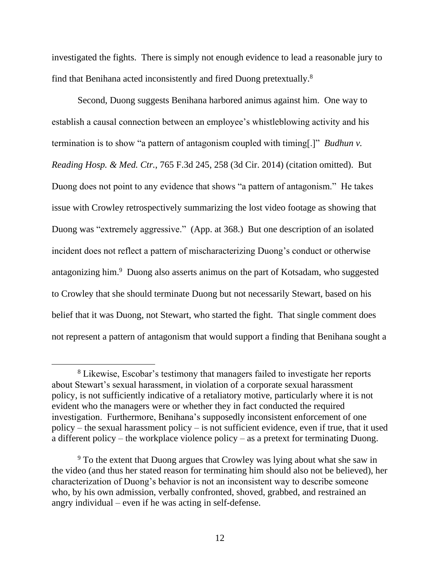investigated the fights. There is simply not enough evidence to lead a reasonable jury to find that Benihana acted inconsistently and fired Duong pretextually.<sup>8</sup>

Second, Duong suggests Benihana harbored animus against him. One way to establish a causal connection between an employee's whistleblowing activity and his termination is to show "a pattern of antagonism coupled with timing[.]" *Budhun v. Reading Hosp. & Med. Ctr.*, 765 F.3d 245, 258 (3d Cir. 2014) (citation omitted). But Duong does not point to any evidence that shows "a pattern of antagonism." He takes issue with Crowley retrospectively summarizing the lost video footage as showing that Duong was "extremely aggressive." (App. at 368.) But one description of an isolated incident does not reflect a pattern of mischaracterizing Duong's conduct or otherwise antagonizing him.<sup>9</sup> Duong also asserts animus on the part of Kotsadam, who suggested to Crowley that she should terminate Duong but not necessarily Stewart, based on his belief that it was Duong, not Stewart, who started the fight. That single comment does not represent a pattern of antagonism that would support a finding that Benihana sought a

<sup>&</sup>lt;sup>8</sup> Likewise, Escobar's testimony that managers failed to investigate her reports about Stewart's sexual harassment, in violation of a corporate sexual harassment policy, is not sufficiently indicative of a retaliatory motive, particularly where it is not evident who the managers were or whether they in fact conducted the required investigation. Furthermore, Benihana's supposedly inconsistent enforcement of one policy – the sexual harassment policy – is not sufficient evidence, even if true, that it used a different policy – the workplace violence policy – as a pretext for terminating Duong.

<sup>&</sup>lt;sup>9</sup> To the extent that Duong argues that Crowley was lying about what she saw in the video (and thus her stated reason for terminating him should also not be believed), her characterization of Duong's behavior is not an inconsistent way to describe someone who, by his own admission, verbally confronted, shoved, grabbed, and restrained an angry individual – even if he was acting in self-defense.